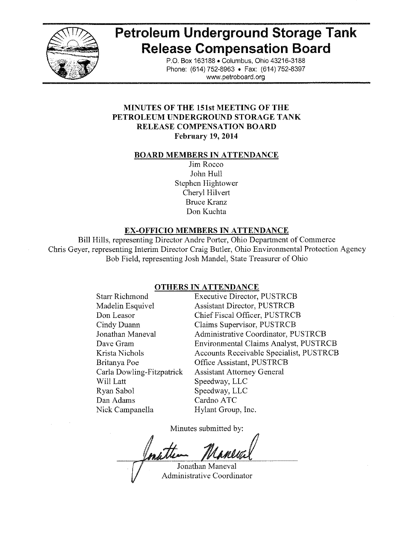

# **Petroleum Underground Storage Tank Release Compensation Board**

P.O. Box 163188 . Columbus, Ohio 43216-3188 Phone: (614) 752-8963 • Fax: (614) 752-8397 www.petroboard.org

## **MINUTES OF THE 151st MEETING OF THE** PETROLEUM UNDERGROUND STORAGE TANK **RELEASE COMPENSATION BOARD February 19, 2014**

#### **BOARD MEMBERS IN ATTENDANCE**

Jim Rocco John Hull Stephen Hightower Cheryl Hilvert **Bruce Kranz** Don Kuchta

# **EX-OFFICIO MEMBERS IN ATTENDANCE**

Bill Hills, representing Director Andre Porter, Ohio Department of Commerce Chris Gever, representing Interim Director Craig Butler, Ohio Environmental Protection Agency Bob Field, representing Josh Mandel, State Treasurer of Ohio

# **OTHERS IN ATTENDANCE**

| <b>Starr Richmond</b>     |
|---------------------------|
| Madelin Esquivel          |
| Don Leasor                |
| Cindy Duann               |
| Jonathan Maneval          |
| Dave Gram                 |
| Krista Nichols            |
| Britanya Poe              |
| Carla Dowling-Fitzpatrick |
| Will Latt                 |
| Ryan Sabol                |
| Dan Adams                 |
| Nick Camnanella           |

**Executive Director, PUSTRCB Assistant Director, PUSTRCB** Chief Fiscal Officer, PUSTRCB **Claims Supervisor, PUSTRCB Administrative Coordinator, PUSTRCB Environmental Claims Analyst, PUSTRCB** Accounts Receivable Specialist, PUSTRCB Office Assistant, PUSTRCB **Assistant Attorney General** Speedway, LLC Speedway, LLC Cardno ATC Hylant Group, Inc.

Minutes submitted by:

Jonathan Maneval Administrative Coordinator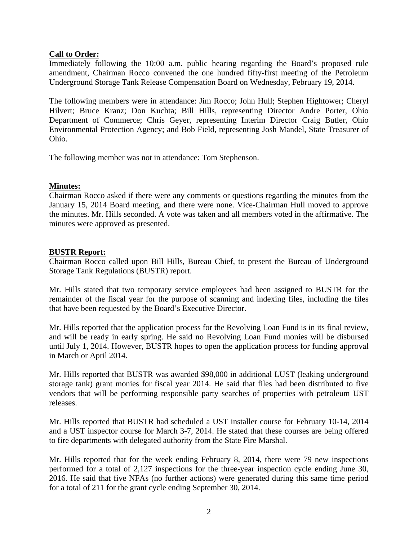## **Call to Order:**

Immediately following the 10:00 a.m. public hearing regarding the Board's proposed rule amendment, Chairman Rocco convened the one hundred fifty-first meeting of the Petroleum Underground Storage Tank Release Compensation Board on Wednesday, February 19, 2014.

The following members were in attendance: Jim Rocco; John Hull; Stephen Hightower; Cheryl Hilvert; Bruce Kranz; Don Kuchta; Bill Hills, representing Director Andre Porter, Ohio Department of Commerce; Chris Geyer, representing Interim Director Craig Butler, Ohio Environmental Protection Agency; and Bob Field, representing Josh Mandel, State Treasurer of Ohio.

The following member was not in attendance: Tom Stephenson.

## **Minutes:**

Chairman Rocco asked if there were any comments or questions regarding the minutes from the January 15, 2014 Board meeting, and there were none. Vice-Chairman Hull moved to approve the minutes. Mr. Hills seconded. A vote was taken and all members voted in the affirmative. The minutes were approved as presented.

## **BUSTR Report:**

Chairman Rocco called upon Bill Hills, Bureau Chief, to present the Bureau of Underground Storage Tank Regulations (BUSTR) report.

Mr. Hills stated that two temporary service employees had been assigned to BUSTR for the remainder of the fiscal year for the purpose of scanning and indexing files, including the files that have been requested by the Board's Executive Director.

Mr. Hills reported that the application process for the Revolving Loan Fund is in its final review, and will be ready in early spring. He said no Revolving Loan Fund monies will be disbursed until July 1, 2014. However, BUSTR hopes to open the application process for funding approval in March or April 2014.

Mr. Hills reported that BUSTR was awarded \$98,000 in additional LUST (leaking underground storage tank) grant monies for fiscal year 2014. He said that files had been distributed to five vendors that will be performing responsible party searches of properties with petroleum UST releases.

Mr. Hills reported that BUSTR had scheduled a UST installer course for February 10-14, 2014 and a UST inspector course for March 3-7, 2014. He stated that these courses are being offered to fire departments with delegated authority from the State Fire Marshal.

Mr. Hills reported that for the week ending February 8, 2014, there were 79 new inspections performed for a total of 2,127 inspections for the three-year inspection cycle ending June 30, 2016. He said that five NFAs (no further actions) were generated during this same time period for a total of 211 for the grant cycle ending September 30, 2014.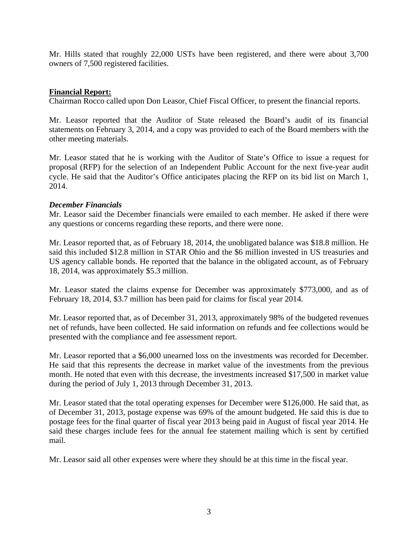Mr. Hills stated that roughly 22,000 USTs have been registered, and there were about 3,700 owners of 7,500 registered facilities.

## **Financial Report:**

Chairman Rocco called upon Don Leasor, Chief Fiscal Officer, to present the financial reports.

Mr. Leasor reported that the Auditor of State released the Board's audit of its financial statements on February 3, 2014, and a copy was provided to each of the Board members with the other meeting materials.

Mr. Leasor stated that he is working with the Auditor of State's Office to issue a request for proposal (RFP) for the selection of an Independent Public Account for the next five-year audit cycle. He said that the Auditor's Office anticipates placing the RFP on its bid list on March 1, 2014.

#### *December Financials*

Mr. Leasor said the December financials were emailed to each member. He asked if there were any questions or concerns regarding these reports, and there were none.

Mr. Leasor reported that, as of February 18, 2014, the unobligated balance was \$18.8 million. He said this included \$12.8 million in STAR Ohio and the \$6 million invested in US treasuries and US agency callable bonds. He reported that the balance in the obligated account, as of February 18, 2014, was approximately \$5.3 million.

Mr. Leasor stated the claims expense for December was approximately \$773,000, and as of February 18, 2014, \$3.7 million has been paid for claims for fiscal year 2014.

Mr. Leasor reported that, as of December 31, 2013, approximately 98% of the budgeted revenues net of refunds, have been collected. He said information on refunds and fee collections would be presented with the compliance and fee assessment report.

Mr. Leasor reported that a \$6,000 unearned loss on the investments was recorded for December. He said that this represents the decrease in market value of the investments from the previous month. He noted that even with this decrease, the investments increased \$17,500 in market value during the period of July 1, 2013 through December 31, 2013.

Mr. Leasor stated that the total operating expenses for December were \$126,000. He said that, as of December 31, 2013, postage expense was 69% of the amount budgeted. He said this is due to postage fees for the final quarter of fiscal year 2013 being paid in August of fiscal year 2014. He said these charges include fees for the annual fee statement mailing which is sent by certified mail.

Mr. Leasor said all other expenses were where they should be at this time in the fiscal year.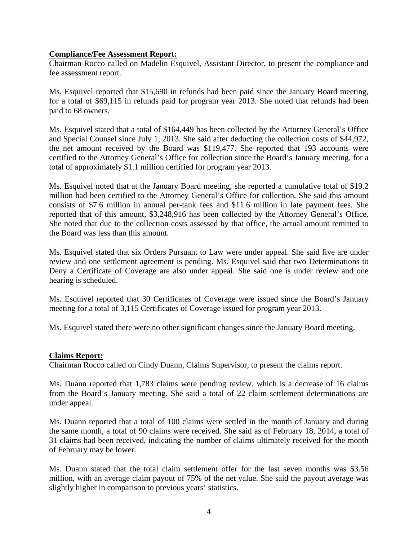#### **Compliance/Fee Assessment Report:**

Chairman Rocco called on Madelin Esquivel, Assistant Director, to present the compliance and fee assessment report.

Ms. Esquivel reported that \$15,690 in refunds had been paid since the January Board meeting, for a total of \$69,115 in refunds paid for program year 2013. She noted that refunds had been paid to 68 owners.

Ms. Esquivel stated that a total of \$164,449 has been collected by the Attorney General's Office and Special Counsel since July 1, 2013. She said after deducting the collection costs of \$44,972, the net amount received by the Board was \$119,477. She reported that 193 accounts were certified to the Attorney General's Office for collection since the Board's January meeting, for a total of approximately \$1.1 million certified for program year 2013.

Ms. Esquivel noted that at the January Board meeting, she reported a cumulative total of \$19.2 million had been certified to the Attorney General's Office for collection. She said this amount consists of \$7.6 million in annual per-tank fees and \$11.6 million in late payment fees. She reported that of this amount, \$3,248,916 has been collected by the Attorney General's Office. She noted that due to the collection costs assessed by that office, the actual amount remitted to the Board was less than this amount.

Ms. Esquivel stated that six Orders Pursuant to Law were under appeal. She said five are under review and one settlement agreement is pending. Ms. Esquivel said that two Determinations to Deny a Certificate of Coverage are also under appeal. She said one is under review and one hearing is scheduled.

Ms. Esquivel reported that 30 Certificates of Coverage were issued since the Board's January meeting for a total of 3,115 Certificates of Coverage issued for program year 2013.

Ms. Esquivel stated there were no other significant changes since the January Board meeting.

#### **Claims Report:**

Chairman Rocco called on Cindy Duann, Claims Supervisor, to present the claims report.

Ms. Duann reported that 1,783 claims were pending review, which is a decrease of 16 claims from the Board's January meeting. She said a total of 22 claim settlement determinations are under appeal.

Ms. Duann reported that a total of 100 claims were settled in the month of January and during the same month, a total of 90 claims were received. She said as of February 18, 2014, a total of 31 claims had been received, indicating the number of claims ultimately received for the month of February may be lower.

Ms. Duann stated that the total claim settlement offer for the last seven months was \$3.56 million, with an average claim payout of 75% of the net value. She said the payout average was slightly higher in comparison to previous years' statistics.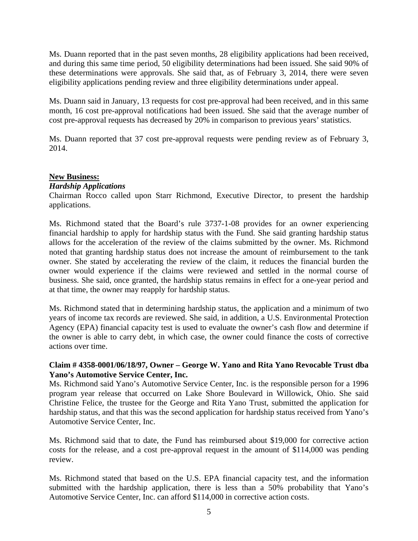Ms. Duann reported that in the past seven months, 28 eligibility applications had been received, and during this same time period, 50 eligibility determinations had been issued. She said 90% of these determinations were approvals. She said that, as of February 3, 2014, there were seven eligibility applications pending review and three eligibility determinations under appeal.

Ms. Duann said in January, 13 requests for cost pre-approval had been received, and in this same month, 16 cost pre-approval notifications had been issued. She said that the average number of cost pre-approval requests has decreased by 20% in comparison to previous years' statistics.

Ms. Duann reported that 37 cost pre-approval requests were pending review as of February 3, 2014.

#### **New Business:**

#### *Hardship Applications*

Chairman Rocco called upon Starr Richmond, Executive Director, to present the hardship applications.

Ms. Richmond stated that the Board's rule 3737-1-08 provides for an owner experiencing financial hardship to apply for hardship status with the Fund. She said granting hardship status allows for the acceleration of the review of the claims submitted by the owner. Ms. Richmond noted that granting hardship status does not increase the amount of reimbursement to the tank owner. She stated by accelerating the review of the claim, it reduces the financial burden the owner would experience if the claims were reviewed and settled in the normal course of business. She said, once granted, the hardship status remains in effect for a one-year period and at that time, the owner may reapply for hardship status.

Ms. Richmond stated that in determining hardship status, the application and a minimum of two years of income tax records are reviewed. She said, in addition, a U.S. Environmental Protection Agency (EPA) financial capacity test is used to evaluate the owner's cash flow and determine if the owner is able to carry debt, in which case, the owner could finance the costs of corrective actions over time.

## **Claim # 4358-0001/06/18/97, Owner – George W. Yano and Rita Yano Revocable Trust dba Yano's Automotive Service Center, Inc.**

Ms. Richmond said Yano's Automotive Service Center, Inc. is the responsible person for a 1996 program year release that occurred on Lake Shore Boulevard in Willowick, Ohio. She said Christine Felice, the trustee for the George and Rita Yano Trust, submitted the application for hardship status, and that this was the second application for hardship status received from Yano's Automotive Service Center, Inc.

Ms. Richmond said that to date, the Fund has reimbursed about \$19,000 for corrective action costs for the release, and a cost pre-approval request in the amount of \$114,000 was pending review.

Ms. Richmond stated that based on the U.S. EPA financial capacity test, and the information submitted with the hardship application, there is less than a 50% probability that Yano's Automotive Service Center, Inc. can afford \$114,000 in corrective action costs.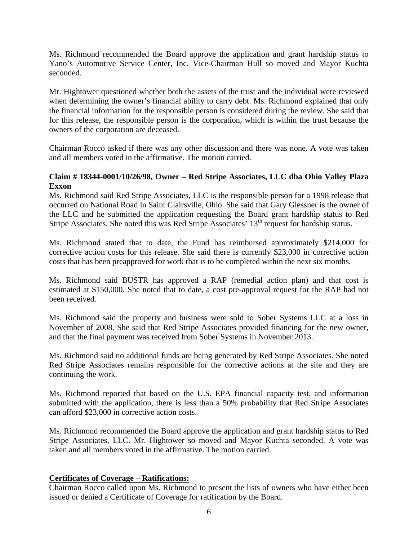Ms. Richmond recommended the Board approve the application and grant hardship status to Yano's Automotive Service Center, Inc. Vice-Chairman Hull so moved and Mayor Kuchta seconded.

Mr. Hightower questioned whether both the assets of the trust and the individual were reviewed when determining the owner's financial ability to carry debt. Ms. Richmond explained that only the financial information for the responsible person is considered during the review. She said that for this release, the responsible person is the corporation, which is within the trust because the owners of the corporation are deceased.

Chairman Rocco asked if there was any other discussion and there was none. A vote was taken and all members voted in the affirmative. The motion carried.

## **Claim # 18344-0001/10/26/98, Owner – Red Stripe Associates, LLC dba Ohio Valley Plaza Exxon**

Ms. Richmond said Red Stripe Associates, LLC is the responsible person for a 1998 release that occurred on National Road in Saint Clairsville, Ohio. She said that Gary Glessner is the owner of the LLC and he submitted the application requesting the Board grant hardship status to Red Stripe Associates. She noted this was Red Stripe Associates' 13<sup>th</sup> request for hardship status.

Ms. Richmond stated that to date, the Fund has reimbursed approximately \$214,000 for corrective action costs for this release. She said there is currently \$23,000 in corrective action costs that has been preapproved for work that is to be completed within the next six months.

Ms. Richmond said BUSTR has approved a RAP (remedial action plan) and that cost is estimated at \$150,000. She noted that to date, a cost pre-approval request for the RAP had not been received.

Ms. Richmond said the property and business were sold to Sober Systems LLC at a loss in November of 2008. She said that Red Stripe Associates provided financing for the new owner, and that the final payment was received from Sober Systems in November 2013.

Ms. Richmond said no additional funds are being generated by Red Stripe Associates. She noted Red Stripe Associates remains responsible for the corrective actions at the site and they are continuing the work.

Ms. Richmond reported that based on the U.S. EPA financial capacity test, and information submitted with the application, there is less than a 50% probability that Red Stripe Associates can afford \$23,000 in corrective action costs.

Ms. Richmond recommended the Board approve the application and grant hardship status to Red Stripe Associates, LLC. Mr. Hightower so moved and Mayor Kuchta seconded. A vote was taken and all members voted in the affirmative. The motion carried.

# **Certificates of Coverage – Ratifications:**

Chairman Rocco called upon Ms. Richmond to present the lists of owners who have either been issued or denied a Certificate of Coverage for ratification by the Board.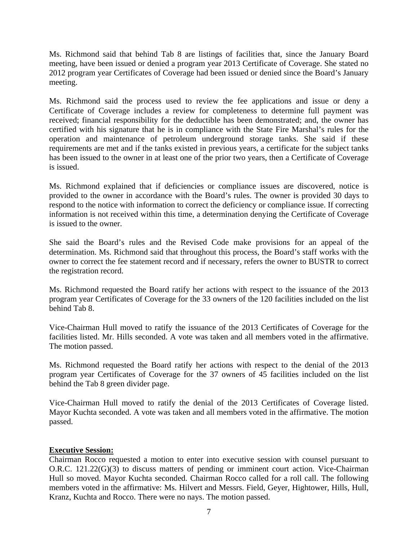Ms. Richmond said that behind Tab 8 are listings of facilities that, since the January Board meeting, have been issued or denied a program year 2013 Certificate of Coverage. She stated no 2012 program year Certificates of Coverage had been issued or denied since the Board's January meeting.

Ms. Richmond said the process used to review the fee applications and issue or deny a Certificate of Coverage includes a review for completeness to determine full payment was received; financial responsibility for the deductible has been demonstrated; and, the owner has certified with his signature that he is in compliance with the State Fire Marshal's rules for the operation and maintenance of petroleum underground storage tanks. She said if these requirements are met and if the tanks existed in previous years, a certificate for the subject tanks has been issued to the owner in at least one of the prior two years, then a Certificate of Coverage is issued.

Ms. Richmond explained that if deficiencies or compliance issues are discovered, notice is provided to the owner in accordance with the Board's rules. The owner is provided 30 days to respond to the notice with information to correct the deficiency or compliance issue. If correcting information is not received within this time, a determination denying the Certificate of Coverage is issued to the owner.

She said the Board's rules and the Revised Code make provisions for an appeal of the determination. Ms. Richmond said that throughout this process, the Board's staff works with the owner to correct the fee statement record and if necessary, refers the owner to BUSTR to correct the registration record.

Ms. Richmond requested the Board ratify her actions with respect to the issuance of the 2013 program year Certificates of Coverage for the 33 owners of the 120 facilities included on the list behind Tab 8.

Vice-Chairman Hull moved to ratify the issuance of the 2013 Certificates of Coverage for the facilities listed. Mr. Hills seconded. A vote was taken and all members voted in the affirmative. The motion passed.

Ms. Richmond requested the Board ratify her actions with respect to the denial of the 2013 program year Certificates of Coverage for the 37 owners of 45 facilities included on the list behind the Tab 8 green divider page.

Vice-Chairman Hull moved to ratify the denial of the 2013 Certificates of Coverage listed. Mayor Kuchta seconded. A vote was taken and all members voted in the affirmative. The motion passed.

#### **Executive Session:**

Chairman Rocco requested a motion to enter into executive session with counsel pursuant to O.R.C. 121.22(G)(3) to discuss matters of pending or imminent court action. Vice-Chairman Hull so moved. Mayor Kuchta seconded. Chairman Rocco called for a roll call. The following members voted in the affirmative: Ms. Hilvert and Messrs. Field, Geyer, Hightower, Hills, Hull, Kranz, Kuchta and Rocco. There were no nays. The motion passed.